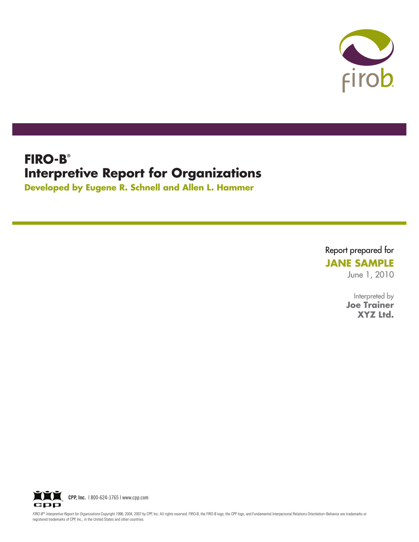

# **FIRO-B® Interpretive Report for Organizations**

**Developed by Eugene R. Schnell and Allen L. Hammer**

Report prepared for

**JANE SAMPLE**

June 1, 2010

Interpreted by **Joe Trainer XYZ Ltd.**



FIRO-B® Interpretive Report for Organizations Copyright 1996, 2004, 2007 by CPP, Inc. All rights reserved. FIRO-B, the FIRO-B logo, the CPP logo, and Fundamental Interpersonal Relations Orientation-Behavior are trademarks registered trademarks of CPP, Inc., in the United States and other countries.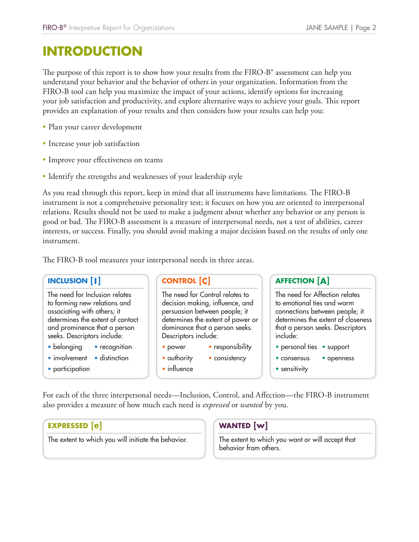# FIRO-B<sup>®</sup> Interpretive Report for Org<br> **INTRODUCTION**

The purpose of this report is to show how your results from the FIRO-B<sup>®</sup> assessment can help you understand your behavior and the behavior of others in your organization. Information from the FIRO-B tool can help you maximize the impact of your actions, identify options for increasing your job satisfaction and productivity, and explore alternative ways to achieve your goals. This report provides an explanation of your results and then considers how your results can help you:

- Plan your career development
- Increase your job satisfaction
- Improve your effectiveness on teams
- Identify the strengths and weaknesses of your leadership style

As you read through this report, keep in mind that all instruments have limitations. The FIRO-B instrument is not a comprehensive personality test; it focuses on how you are oriented to interpersonal relations. Results should not be used to make a judgment about whether any behavior or any person is good or bad. The FIRO-B assessment is a measure of interpersonal needs, not a test of abilities, career interests, or success. Finally, you should avoid making a major decision based on the results of only one instrument. **RO-B<sup>®</sup>** Interpretive<br> **INCLUSION**<br> **INCLUSION**<br> **INCLUSION**<br> **INCLUSION**<br> **INCLUSION**<br> **INCLUSION**<br> **INCLUSION**<br> **INCLUSION**<br> **INCLUSION** France Solutions<br>
How your result<br>
the impact of your and explore alt<br>
s and then cons<br>
s<br>
s<br>
s<br>
es of your leade<br>
in mind that a<br>
s<br>
is a measure of<br>
ld avoid making<br>
personal needs<br> **CONTROL [C]** JANE S/<br>
assessment can he<br>
. Information fro<br>
options for increa<br>
its can help you:<br>
ts can help you:<br>
mitations. The F<sup>1</sup><br>
are oriented to in<br>
ny behavior or ar<br>
not a test of abili<br>
sed on the results<br> **AFFECTION [A]** Form the FIRO-1<br>
your organizatiantive ways to a<br>
ers how your res<br>
trishow your res<br>
in the struments have<br>
cuses on how you<br>
the struments have<br>
cuses on how your<br>
three areas.<br>
major decision<br>
three areas.<br>
sponsibility

The need for Inclusion relates to forming new relations and associating with others; it determines the extent of contact and prominence that a person seeks. Descriptors include:

- belonging recognition
- involvement distinction
- participation

The need for Control relates to decision making, influence, and persuasion between people; it determines the extent of power or dominance that a person seeks. Descriptors include: The FIRO-B tool measures your interpersonal needs in three areas.<br> **INCLUSION [1]**<br>
The need for Michains and<br>
to forming new relations and<br>
decision making, influence, and<br>
decision making, influence, and<br>
determines the

- power responsibility
- authority consistency
- influence

The need for Affection relates to emotional ties and warm connections between people; it determines the extent of closeness that a person seeks. Descriptors include:

- personal ties support
- consensus openness
- sensitivity

also provides a measure of how much each need is *expressed* or *wanted* by you.

### **EXPRESSED [e]**

The extent to which you will initiate the behavior.

### **WANTED** [w]

The extent to which you want or will accept that behavior from others.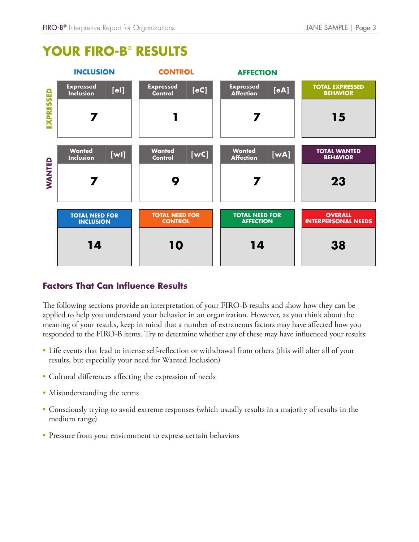

# FIRO-B® Interpretive Report for Organizations<br> **YOUR FIRO-B® RESULTS**

The following sections provide an interpretation of your FIRO-B results and show how they can be applied to help you understand your behavior in an organization. However, as you think about the meaning of your results, keep in mind that a number of extraneous factors may have affected how you responded to the FIRO-B items. Try to determine whether any of these may have influenced your results:

- Life events that lead to intense self-reflection or withdrawal from others (this will alter all of your results, but especially your need for Wanted Inclusion)
- Cultural differences affecting the expression of needs
- Misunderstanding the terms
- Consciously trying to avoid extreme responses (which usually results in a majority of results in the medium range)
- Pressure from your environment to express certain behaviors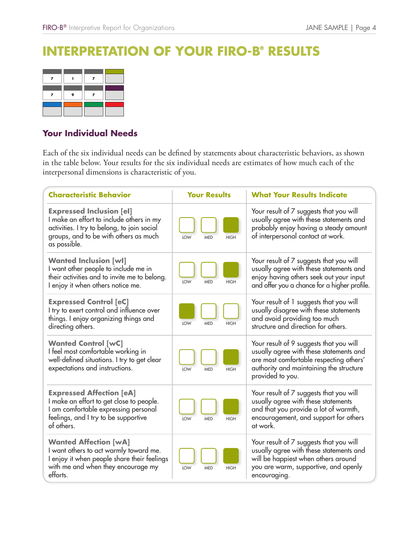# FIRO-B® Interpretive Report for Organizations<br> **INTERPRETATION OF YOUR FIRO-B® RESULTS**

### **Your Individual Needs**

| $FIRO-B®$ Interpretive Report for Organizations<br>JANE SAMPLE   Page 4<br>ERPRETATION OF YOUR FIRO-B® RESULTS                                                                                                                                                      |                                         |                                                                                                                                                                                              |  |  |  |
|---------------------------------------------------------------------------------------------------------------------------------------------------------------------------------------------------------------------------------------------------------------------|-----------------------------------------|----------------------------------------------------------------------------------------------------------------------------------------------------------------------------------------------|--|--|--|
| $\pmb{7}$<br>$\overline{ }$<br>$\mathbf{I}$<br>9<br>7<br>$\overline{ }$                                                                                                                                                                                             |                                         |                                                                                                                                                                                              |  |  |  |
| Your Individual Needs                                                                                                                                                                                                                                               |                                         |                                                                                                                                                                                              |  |  |  |
| Each of the six individual needs can be defined by statements about characteristic behaviors, as shown<br>in the table below. Your results for the six individual needs are estimates of how much each of the<br>interpersonal dimensions is characteristic of you. |                                         |                                                                                                                                                                                              |  |  |  |
| <b>Characteristic Behavior</b>                                                                                                                                                                                                                                      | <b>Your Results</b>                     | <b>What Your Results Indicate</b>                                                                                                                                                            |  |  |  |
| <b>Expressed Inclusion [el]</b><br>I make an effort to include others in my<br>activities. I try to belong, to join social<br>groups, and to be with others as much<br>as possible.                                                                                 | <b>HIGH</b><br>LOW<br><b>MED</b>        | Your result of 7 suggests that you will<br>usually agree with these statements and<br>probably enjoy having a steady amount<br>of interpersonal contact at work.                             |  |  |  |
| <b>Wanted Inclusion [wl]</b><br>I want other people to include me in<br>their activities and to invite me to belong.<br>I enjoy it when others notice me.                                                                                                           | LOW<br><b>MED</b><br><b>HIGH</b>        | Your result of 7 suggests that you will<br>usually agree with these statements and<br>enjoy having others seek out your input<br>and offer you a chance for a higher profile.                |  |  |  |
| <b>Expressed Control [eC]</b><br>I try to exert control and influence over<br>things. I enjoy organizing things and<br>directing others.                                                                                                                            | <b>LOW</b><br><b>MED</b><br><b>HIGH</b> | Your result of 1 suggests that you will<br>usually disagree with these statements<br>and avoid providing too much<br>structure and direction for others.                                     |  |  |  |
| <b>Wanted Control [wC]</b><br>I feel most comfortable working in<br>well-defined situations. I try to get clear<br>expectations and instructions.                                                                                                                   | <b>HIGH</b><br>LOW<br><b>MED</b>        | Your result of 9 suggests that you will<br>usually agree with these statements and<br>are most comfortable respecting others'<br>authority and maintaining the structure<br>provided to you. |  |  |  |
| <b>Expressed Affection [eA]</b><br>I make an effort to get close to people.<br>I am comfortable expressing personal<br>feelings, and I try to be supportive<br>of others.                                                                                           | LOW<br><b>HIGH</b><br><b>MED</b>        | Your result of 7 suggests that you will<br>usually agree with these statements<br>and that you provide a lot of warmth,<br>encouragement, and support for others<br>at work.                 |  |  |  |
| <b>Wanted Affection [wA]</b><br>I want others to act warmly toward me.<br>I enjoy it when people share their feelings<br>with me and when they encourage my<br>efforts.                                                                                             | LOW<br><b>MED</b><br><b>HIGH</b>        | Your result of 7 suggests that you will<br>usually agree with these statements and<br>will be happiest when others around<br>you are warm, supportive, and openly<br>encouraging.            |  |  |  |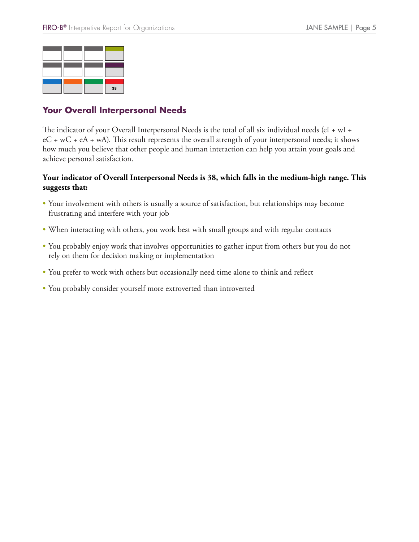

# **Your Overall Interpersonal Needs**

The indicator of your Overall Interpersonal Needs is the total of all six individual needs (eI + wI +  $eC + wC + eA + wA$ ). This result represents the overall strength of your interpersonal needs; it shows how much you believe that other people and human interaction can help you attain your goals and achieve personal satisfaction. Four Overall Interpersonal Needs<br>
The indicator of your Overall Interpersonal Needs is the total of all<br>
eC + wC + eA + wA). This result represents the overall strength of y<br>
how much you believe that other people and huma

### **Your indicator of Overall Interpersonal Needs is 38, which falls in the medium-high range. This suggests that:**

- Your involvement with others is usually a source of satisfaction, but relationships may become frustrating and interfere with your job
- When interacting with others, you work best with small groups and with regular contacts
- You probably enjoy work that involves opportunities to gather input from others but you do not rely on them for decision making or implementation
- You prefer to work with others but occasionally need time alone to think and reflect
-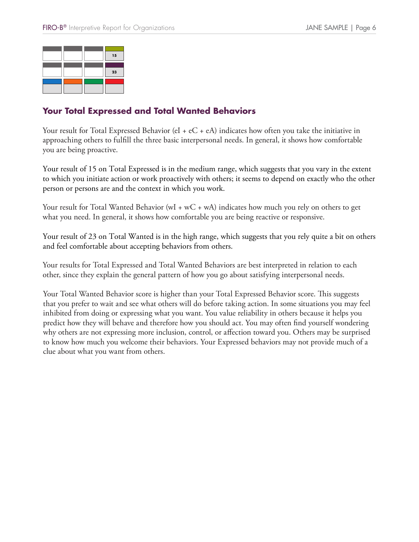

### **Your Total Expressed and Total Wanted Behaviors**

Your result for Total Expressed Behavior (eI +  $eC + eA$ ) indicates how often you take the initiative in approaching others to fulfill the three basic interpersonal needs. In general, it shows how comfortable you are being proactive.

Your result of 15 on Total Expressed is in the medium range, which suggests that you vary in the extent to which you initiate action or work proactively with others; it seems to depend on exactly who the other person or persons are and the context in which you work.

Your result for Total Wanted Behavior (wI + wC + wA) indicates how much you rely on others to get what you need. In general, it shows how comfortable you are being reactive or responsive.

Your result of 23 on Total Wanted is in the high range, which suggests that you rely quite a bit on others and feel comfortable about accepting behaviors from others.

Your results for Total Expressed and Total Wanted Behaviors are best interpreted in relation to each other, since they explain the general pattern of how you go about satisfying interpersonal needs.

Your Total Wanted Behavior score is higher than your Total Expressed Behavior score. This suggests that you prefer to wait and see what others will do before taking action. In some situations you may feel inhibited from doing or expressing what you want. You value reliability in others because it helps you predict how they will behave and therefore how you should act. You may often find yourself wondering why others are not expressing more inclusion, control, or affection toward you. Others may be surprised to know how much you welcome their behaviors. Your Expressed behaviors may not provide much of a clue about what you want from others.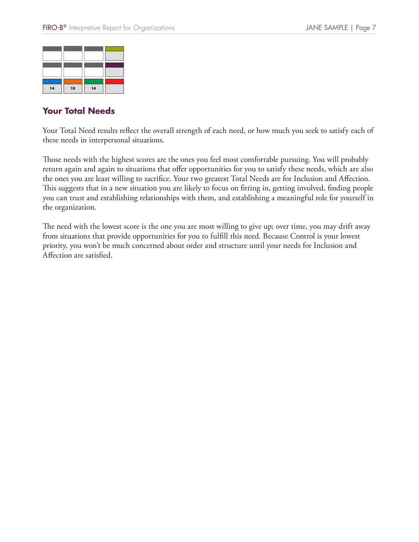| 14 | 10 | 14 |  |
|----|----|----|--|

### **Your Total Needs**

Your Total Need results reflect the overall strength of each need, or how much you seek to satisfy each of these needs in interpersonal situations.

Those needs with the highest scores are the ones you feel most comfortable pursuing. You will probably return again and again to situations that offer opportunities for you to satisfy these needs, which are also the ones you are least willing to sacrifice. Your two greatest Total Needs are for Inclusion and Affection. This suggests that in a new situation you are likely to focus on fitting in, getting involved, finding people you can trust and establishing relationships with them, and establishing a meaningful role for yourself in the organization.

The need with the lowest score is the one you are most willing to give up; over time, you may drift away from situations that provide opportunities for you to fulfill this need. Because Control is your lowest priority, you won't be much concerned about order and structure until your needs for Inclusion and Affection are satisfied.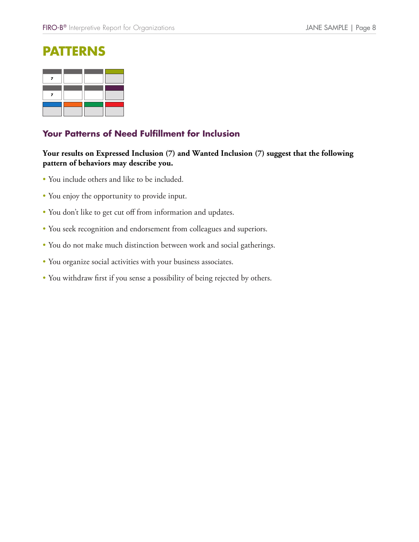# **Patterns**

### **Your Patterns of Need Fulfillment for Inclusion**

### **Your results on Expressed Inclusion (7) and Wanted Inclusion (7) suggest that the following pattern of behaviors may describe you.**

- You include others and like to be included.
- You enjoy the opportunity to provide input.
- You don't like to get cut off from information and updates.
- You seek recognition and endorsement from colleagues and superiors.
- You do not make much distinction between work and social gatherings.
- You organize social activities with your business associates.
- You withdraw first if you sense a possibility of being rejected by others.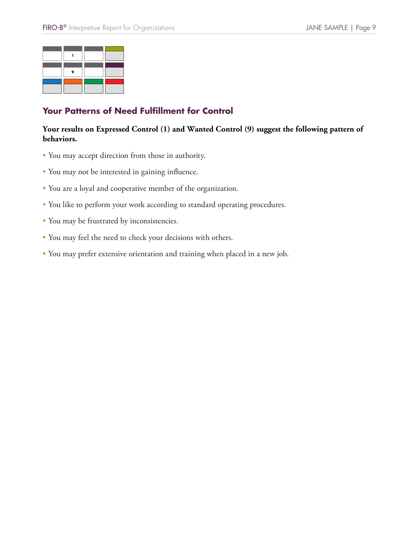

### **Your Patterns of Need Fulfillment for Control**

### **Your results on Expressed Control (1) and Wanted Control (9) suggest the following pattern of behaviors.**

- You may accept direction from those in authority.
- You may not be interested in gaining influence.
- You are a loyal and cooperative member of the organization.
- You like to perform your work according to standard operating procedures.
- You may be frustrated by inconsistencies.
- You may feel the need to check your decisions with others.
- You may prefer extensive orientation and training when placed in a new job.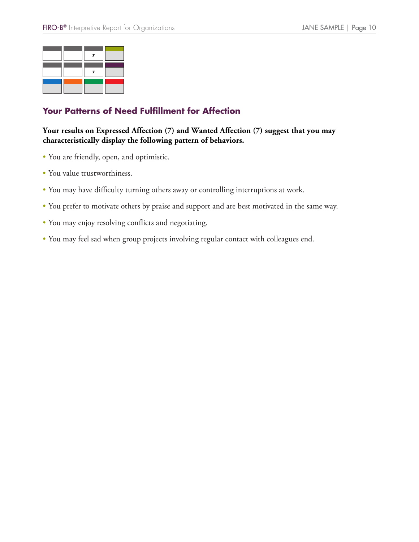## **Your Patterns of Need Fulfillment for Affection**

### **Your results on Expressed Affection (7) and Wanted Affection (7) suggest that you may characteristically display the following pattern of behaviors.**

- You are friendly, open, and optimistic.
- You value trustworthiness.
- You may have difficulty turning others away or controlling interruptions at work.
- You prefer to motivate others by praise and support and are best motivated in the same way.
- You may enjoy resolving conflicts and negotiating.
- You may feel sad when group projects involving regular contact with colleagues end.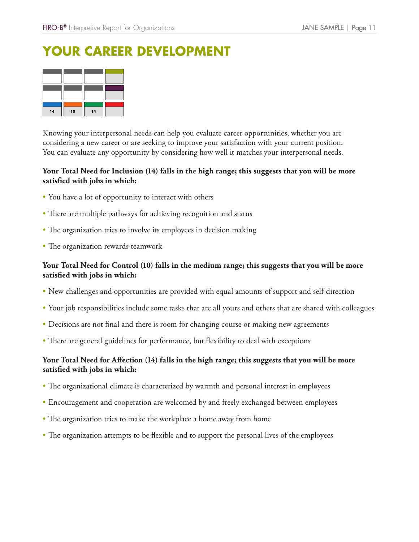# **Your Career Development**

| 14 | 10 | 14 |  |
|----|----|----|--|

Knowing your interpersonal needs can help you evaluate career opportunities, whether you are considering a new career or are seeking to improve your satisfaction with your current position. You can evaluate any opportunity by considering how well it matches your interpersonal needs.

### **Your Total Need for Inclusion (14) falls in the high range; this suggests that you will be more satisfied with jobs in which:**

- You have a lot of opportunity to interact with others
- There are multiple pathways for achieving recognition and status
- The organization tries to involve its employees in decision making
- The organization rewards teamwork

### **Your Total Need for Control (10) falls in the medium range; this suggests that you will be more satisfied with jobs in which:**

- New challenges and opportunities are provided with equal amounts of support and self-direction
- Your job responsibilities include some tasks that are all yours and others that are shared with colleagues
- Decisions are not final and there is room for changing course or making new agreements
- There are general guidelines for performance, but flexibility to deal with exceptions

### **Your Total Need for Affection (14) falls in the high range; this suggests that you will be more satisfied with jobs in which:**

- The organizational climate is characterized by warmth and personal interest in employees
- Encouragement and cooperation are welcomed by and freely exchanged between employees
- The organization tries to make the workplace a home away from home
- The organization attempts to be flexible and to support the personal lives of the employees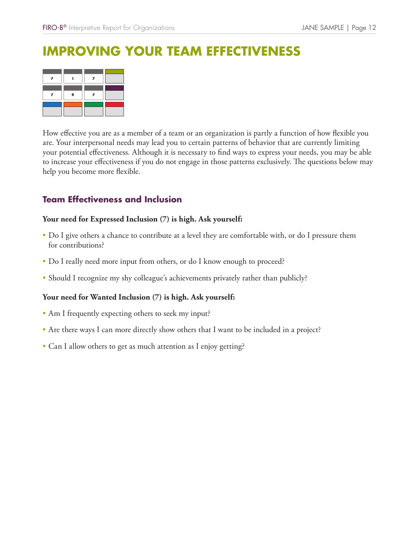How effective you are as a member of a team or an organization is partly a function of how flexible you are. Your interpersonal needs may lead you to certain patterns of behavior that are currently limiting your potential effectiveness. Although it is necessary to find ways to express your needs, you may be able to increase your effectiveness if you do not engage in those patterns exclusively. The questions below may help you become more flexible. FIRO-B<sup>®</sup> Interpretive Report for Organizations<br> **IMPROVING YOUR TEAM EFFECTIVENE**<br>
The strategy of the strategy of a team or an organization is partly a function<br>
Theoretic you are as a member of a team or an organization

### **Your need for Expressed Inclusion (7) is high. Ask yourself:**

- Do I give others a chance to contribute at a level they are comfortable with, or do I pressure them for contributions?
- Do I really need more input from others, or do I know enough to proceed?
- Should I recognize my shy colleague's achievements privately rather than publicly?

### **Your need for Wanted Inclusion (7) is high. Ask yourself:**

- Am I frequently expecting others to seek my input?
- Are there ways I can more directly show others that I want to be included in a project?
- Can I allow others to get as much attention as I enjoy getting?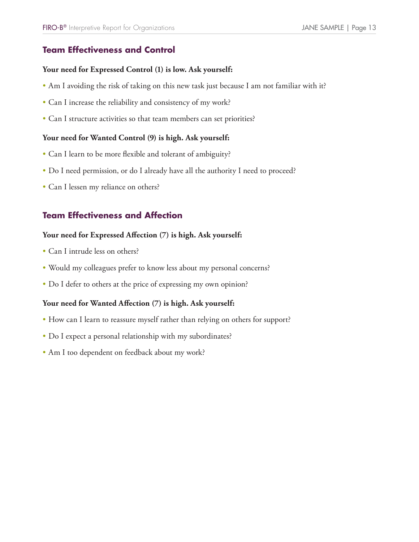# **FIRO-B®** Interpretive Report for Organizations<br>**Team Effectiveness and Control**

### **Your need for Expressed Control (1) is low. Ask yourself:**

- Am I avoiding the risk of taking on this new task just because I am not familiar with it?
- Can I increase the reliability and consistency of my work?
- Can I structure activities so that team members can set priorities?

### **Your need for Wanted Control (9) is high. Ask yourself:**

- Can I learn to be more flexible and tolerant of ambiguity?
- Do I need permission, or do I already have all the authority I need to proceed?
- Can I lessen my reliance on others?

# FIRO-B<sup>®</sup> Interpretive Report for Organizations<br> **Team Effectiveness and Control**<br>
Your need for Expressed Control (1) is lov<br>
• Am I avoiding the risk of taking on this ne<br>
• Can I increase the reliability and consisten<br>

### **Your need for Expressed Affection (7) is high. Ask yourself:**

- Can I intrude less on others?
- Would my colleagues prefer to know less about my personal concerns?
- Do I defer to others at the price of expressing my own opinion?

### **Your need for Wanted Affection (7) is high. Ask yourself:**

- How can I learn to reassure myself rather than relying on others for support?
- Do I expect a personal relationship with my subordinates?
- Am I too dependent on feedback about my work?